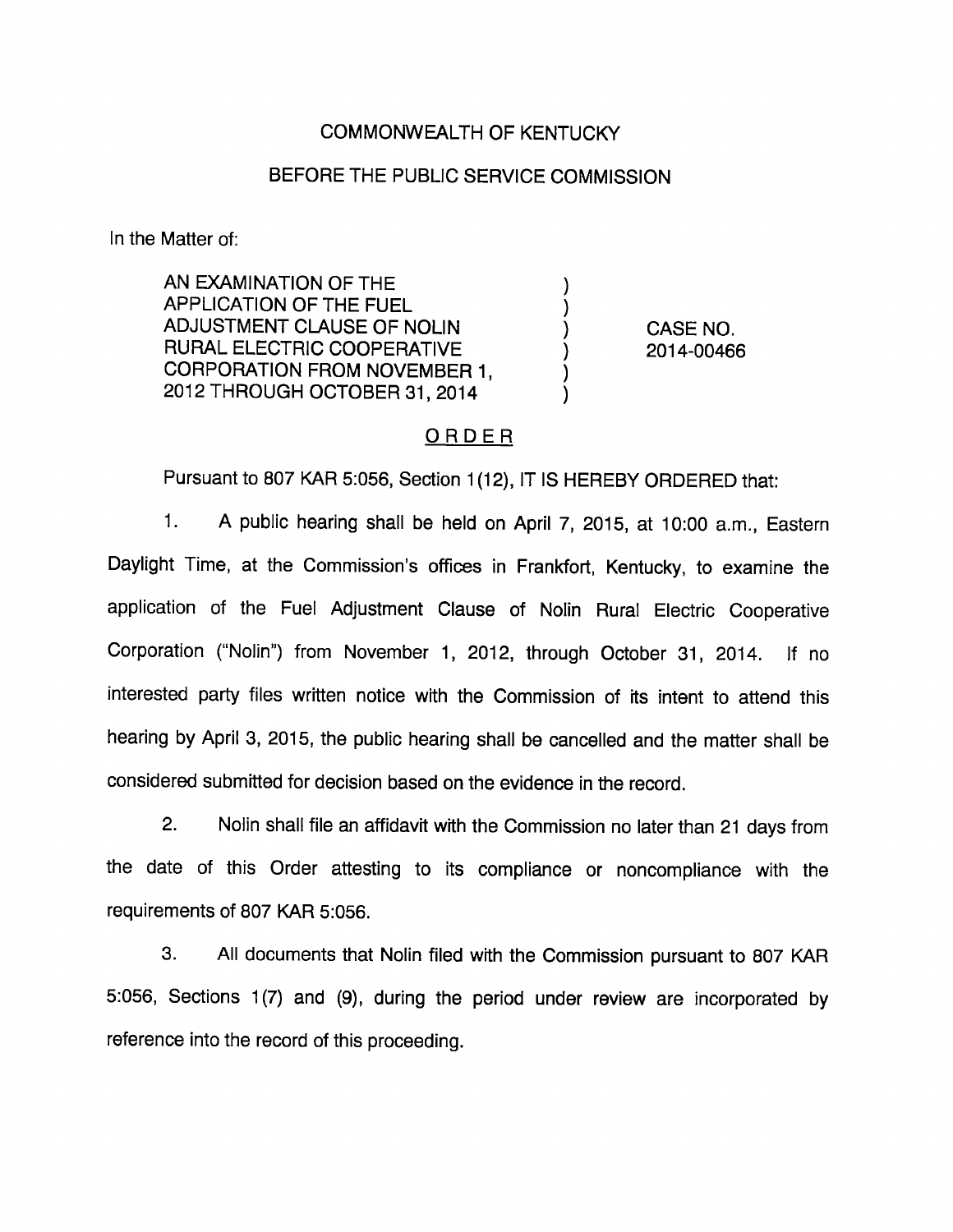## COMMONWEALTH OF KENTUCKY

## BEFORE THE PUBLIC SERVICE COMMISSION

In the Matter of:

AN EXAMINATION OF THE APPLICATION OF THE FUEL ADJUSTMENT CLAUSE OF NOUN RURAL ELECTRIC COOPERATIVE CORPORATION FROM NOVEMBER 1, 2012 THROUGH OCTOBER 31, 2014

CASE NO. 2014-00466

### ORDER

 $\mathcal{E}$  $\mathcal{Y}$ 

Pursuant to 807 KAR 5:056, Section 1(12), IT IS HEREBY ORDERED that:

1. A public hearing shall be held on April 7, 2015, at 10:00 a.m.. Eastern Daylight Time, at the Commission's offices in Frankfort, Kentucky, to examine the application of the Fuel Adjustment Clause of Nolin Rural Electric Cooperative Corporation ("Nolin") from November 1, 2012, through October 31, 2014. If no interested party files written notice with the Commission of its intent to attend this hearing by April 3, 2015, the public hearing shall be cancelled and the matter shall be considered submitted for decision based on the evidence in the record.

2. Nolin shall file an affidavit with the Commission no later than 21 days from the date of this Order attesting to its compliance or noncompliance with the requirements of 807 KAR 5:056.

3. All documents that Nolin filed with the Commission pursuant to 807 KAR 5:056, Sections 1(7) and (9), during the period under review are incorporated by reference into the record of this proceeding.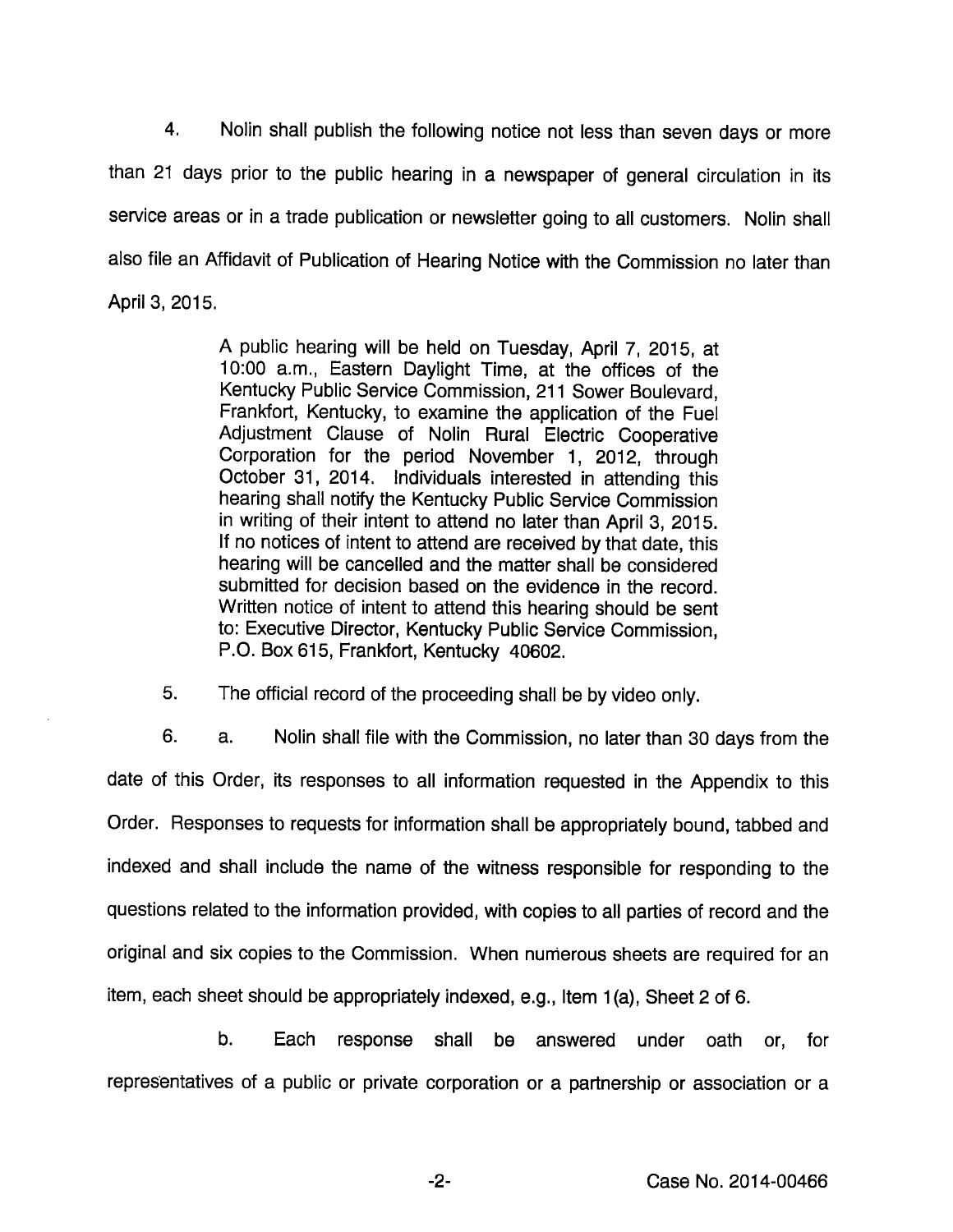4. Nolin shall publish the following notice not less than seven days or more than 21 days prior to the public hearing in a newspaper of general circulation in its service areas or in a trade publication or newsletter going to all customers. Nolin shali also file an Affidavit of Publication of Hearing Notice with the Commission no later than April 3, 2015.

> A public hearing will be held on Tuesday, April 7, 2015, at 10:00 a.m.. Eastern Daylight Time, at the offices of the Kentucky Public Service Commission, 211 Sower Boulevard, Frankfort, Kentucky, to examine the application of the Fuei Adjustment Ciause of Nolin Rural Electric Cooperative Corporation for the period November 1, 2012, through October 31, 2014. Individuals interested in attending this hearing shail notify the Kentucky Public Service Commission in writing of their intent to attend no later than April 3, 2015. If no notices of intent to attend are received by that date, this hearing will be cancelled and the matter shall be considered submitted for decision based on the evidence in the record. Written notice of intent to attend this hearing should be sent to: Executive Director, Kentucky Public Service Commission, P.O. Box 615, Frankfort, Kentucky 40602.

5. The official record of the proceeding shall be by video only.

6. a. Nolin shall file with the Commission, no later than 30 days from the date of this Order, its responses to all information requested in the Appendix to this Order. Responses to requests for information shall be appropriately bound, tabbed and indexed and shall Include the name of the witness responsible for responding to the questions related to the information provided, with copies to all parties of record and the original and six copies to the Commission. When nunierous sheets are required for an item, each sheet should be appropriately indexed, e.g.. Item 1(a). Sheet 2 of 6.

b. Each response shall be answered under oath or, for representatives of a public or private corporation or a partnership or association or a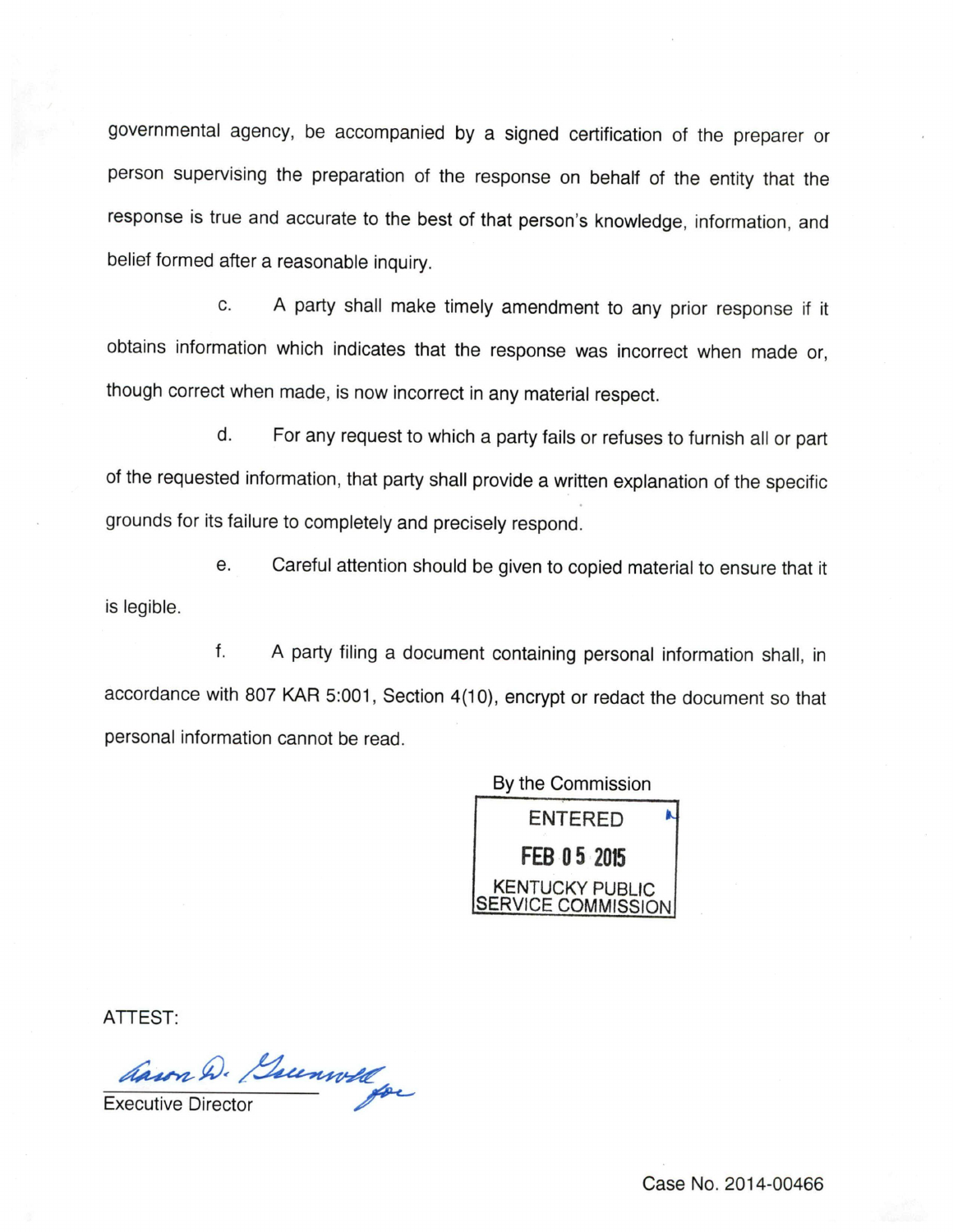governmental agency, be accompanied by a signed certification of the preparer or person supervising the preparation of the response on behalf of the entity that the response is true and accurate to the best of that person's knowledge, information, and belief formed after a reasonable inquiry.

c. A party shall make timely amendment to any prior response if it obtains information which indicates that the response was incorrect when made or, though correct when made, is now incorrect in anymaterial respect.

d. For any request to which a party fails or refuses to furnish all or part of the requested information, that party shall provide a written explanation of the specific grounds for its failure to completely and precisely respond.

e. Careful attention should be given to copied material to ensure that it is legible.

f. A party filing a document containing personal information shall, in accordance with 807 KAR 5:001, Section 4(10), encrypt or redact the document so that personal information cannot be read.



ATTEST:

Cason D. Guenwell

Case No. 2014-00466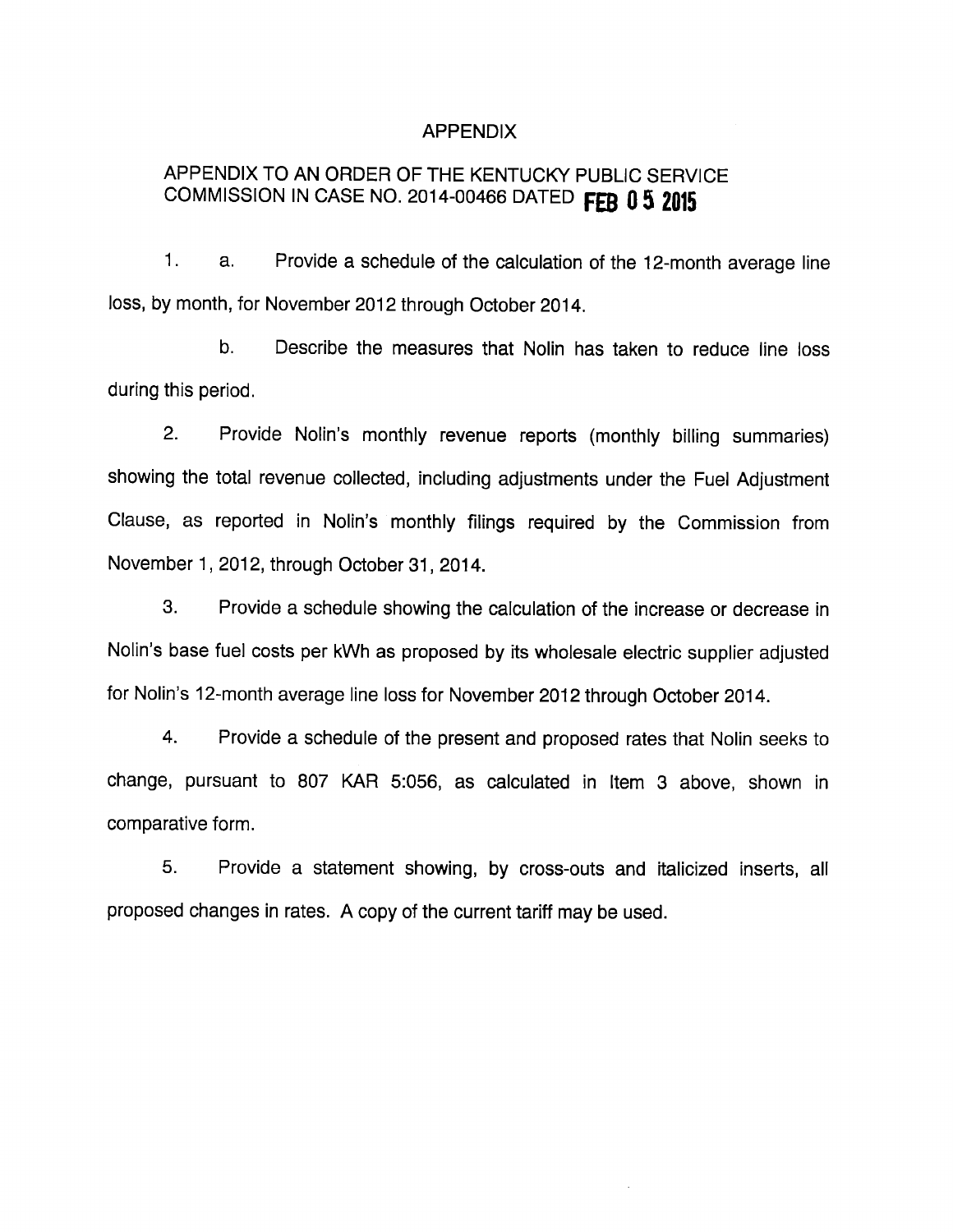#### APPENDIX

# APPENDIX TO AN ORDER OF THE KENTUCKY PUBLIC SERVICE COMMISSION IN CASE NO. 2014-00466 DATED FEB 0 5 2015

1. a. Provide a schedule of the calculation of the 12-month average line loss, by month, for November 2012 through October 2014.

b. Describe the measures that Nolln has taken to reduce line loss during this period.

2. Provide Nolin's monthly revenue reports (monthly billing summaries) showing the total revenue collected, including adjustments under the Fuel Adjustment Clause, as reported in Nolin's monthly filings required by the Commission from November 1, 2012, through October 31, 2014.

3. Provide a schedule showing the calculation of the increase or decrease in Nolin's base fuel costs per kWh as proposed by its wholesale electric supplier adjusted for Nolin's 12-month average line loss for November 2012 through October 2014.

4. Provide a schedule of the present and proposed rates that Nolin seeks to change, pursuant to 807 KAR 5:056, as calculated in Item 3 above, shown in comparative form.

5. Provide a statement showing, by cross-outs and italicized inserts, all proposed changes in rates. A copy of the current tariff may be used.